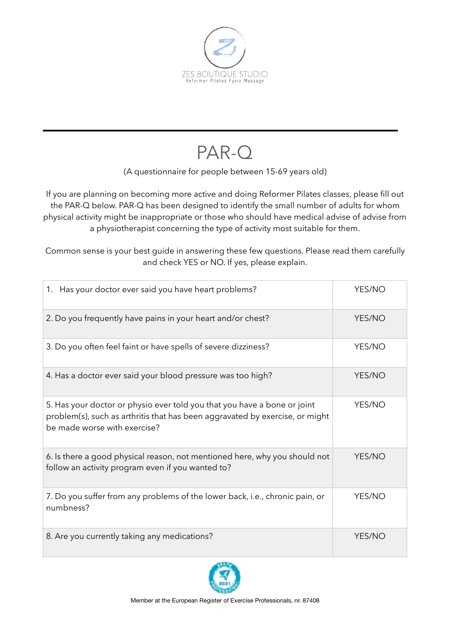

## PAR-Q

## (A questionnaire for people between 15-69 years old)

If you are planning on becoming more active and doing Reformer Pilates classes, please fill out the PAR-Q below. PAR-Q has been designed to identify the small number of adults for whom physical activity might be inappropriate or those who should have medical advise of advise from a physiotherapist concerning the type of activity most suitable for them.

Common sense is your best guide in answering these few questions. Please read them carefully and check YES or NO. If yes, please explain.

| 1. Has your doctor ever said you have heart problems?                                                                                                                                    | YES/NO |
|------------------------------------------------------------------------------------------------------------------------------------------------------------------------------------------|--------|
| 2. Do you frequently have pains in your heart and/or chest?                                                                                                                              | YES/NO |
| 3. Do you often feel faint or have spells of severe dizziness?                                                                                                                           | YES/NO |
| 4. Has a doctor ever said your blood pressure was too high?                                                                                                                              | YES/NO |
| 5. Has your doctor or physio ever told you that you have a bone or joint<br>problem(s), such as arthritis that has been aggravated by exercise, or might<br>be made worse with exercise? | YES/NO |
| 6. Is there a good physical reason, not mentioned here, why you should not<br>follow an activity program even if you wanted to?                                                          | YES/NO |
| 7. Do you suffer from any problems of the lower back, i.e., chronic pain, or<br>numbness?                                                                                                | YES/NO |
| 8. Are you currently taking any medications?                                                                                                                                             | YES/NO |